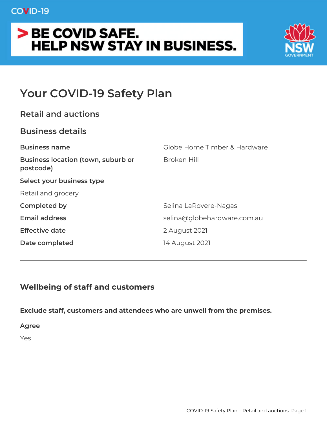## COVID-19

# > BE COVID SAFE. **HELP NSW STAY IN BUSINESS.**



# **Your COVID-19 Safety Plan**

## **Business details**

| <b>Business name</b>                                   | Globe Home Timber & Hardware |
|--------------------------------------------------------|------------------------------|
| <b>Business location (town, suburb or</b><br>postcode) | Broken Hill                  |
| Select your business type                              |                              |
| Retail and grocery                                     |                              |
| <b>Completed by</b>                                    | Selina LaRovere-Nagas        |
| <b>Email address</b>                                   | selina@globehardware.com.au  |
| <b>Effective date</b>                                  | 2 August 2021                |
| Date completed                                         | 14 August 2021               |
|                                                        |                              |

# **Wellbeing of staff and customers**

**Exclude staff, customers and attendees who are unwell from the premises.**

**Agree**

Yes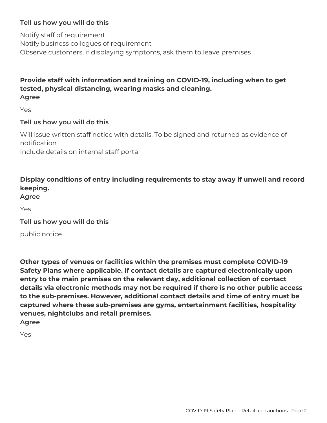#### **Tell us how you will do this**

Notify staff of requirement Notify business collegues of requirement Observe customers, if displaying symptoms, ask them to leave premises

#### **Provide staff with information and training on COVID-19, including when to get tested, physical distancing, wearing masks and cleaning. Agree**

Yes

#### **Tell us how you will do this**

Will issue written staff notice with details. To be signed and returned as evidence of notification

Include details on internal staff portal

### **Display conditions of entry including requirements to stay away if unwell and record keeping.**

**Agree**

Yes

**Tell us how you will do this**

public notice

**Other types of venues or facilities within the premises must complete COVID-19 Safety Plans where applicable. If contact details are captured electronically upon entry to the main premises on the relevant day, additional collection of contact details via electronic methods may not be required if there is no other public access to the sub-premises. However, additional contact details and time of entry must be captured where these sub-premises are gyms, entertainment facilities, hospitality venues, nightclubs and retail premises. Agree**

Yes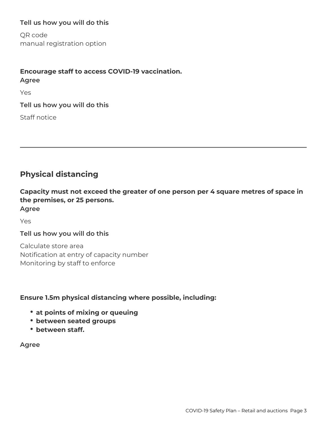#### **Tell us how you will do this**

QR code manual registration option

# **Encourage staff to access COVID-19 vaccination. Agree**

Yes

**Tell us how you will do this**

Staff notice

## **Physical distancing**

**Capacity must not exceed the greater of one person per 4 square metres of space in the premises, or 25 persons. Agree**

Yes

#### **Tell us how you will do this**

Calculate store area Notification at entry of capacity number Monitoring by staff to enforce

#### **Ensure 1.5m physical distancing where possible, including:**

- **at points of mixing or queuing**
- **between seated groups**
- **between staff.**

**Agree**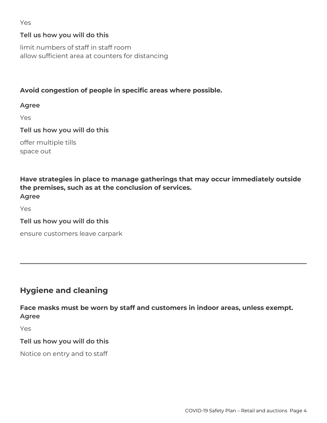#### Yes

#### **Tell us how you will do this**

limit numbers of staff in staff room allow sufficient area at counters for distancing

#### **Avoid congestion of people in specific areas where possible.**

**Agree**

Yes

**Tell us how you will do this**

offer multiple tills space out

**Have strategies in place to manage gatherings that may occur immediately outside the premises, such as at the conclusion of services. Agree**

Yes

**Tell us how you will do this**

ensure customers leave carpark

## **Hygiene and cleaning**

**Face masks must be worn by staff and customers in indoor areas, unless exempt. Agree**

Yes

#### **Tell us how you will do this**

Notice on entry and to staff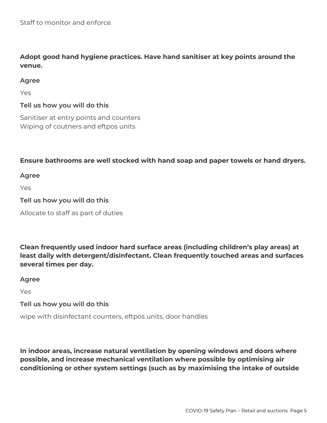**Adopt good hand hygiene practices. Have hand sanitiser at key points around the venue.**

#### **Agree**

Yes

#### **Tell us how you will do this**

Sanitiser at entry points and counters Wiping of coutners and eftpos units

#### **Ensure bathrooms are well stocked with hand soap and paper towels or hand dryers.**

**Agree**

Yes

#### **Tell us how you will do this**

Allocate to staff as part of duties

**Clean frequently used indoor hard surface areas (including children's play areas) at least daily with detergent/disinfectant. Clean frequently touched areas and surfaces several times per day.**

**Agree**

Yes

#### **Tell us how you will do this**

wipe with disinfectant counters, eftpos units, door handles

**In indoor areas, increase natural ventilation by opening windows and doors where possible, and increase mechanical ventilation where possible by optimising air conditioning or other system settings (such as by maximising the intake of outside**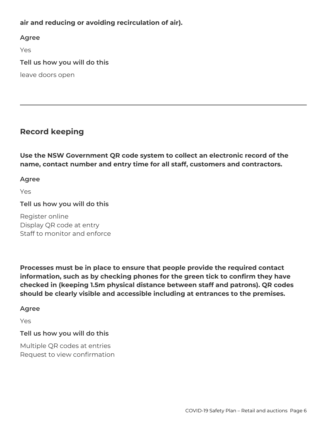**air and reducing or avoiding recirculation of air).**

**Agree**

Yes

**Tell us how you will do this**

leave doors open

### **Record keeping**

**Use the NSW Government QR code system to collect an electronic record of the name, contact number and entry time for all staff, customers and contractors.**

#### **Agree**

Yes

**Tell us how you will do this**

Register online Display QR code at entry Staff to monitor and enforce

**Processes must be in place to ensure that people provide the required contact information, such as by checking phones for the green tick to confirm they have checked in (keeping 1.5m physical distance between staff and patrons). QR codes should be clearly visible and accessible including at entrances to the premises.**

#### **Agree**

Yes

#### **Tell us how you will do this**

Multiple QR codes at entries Request to view confirmation